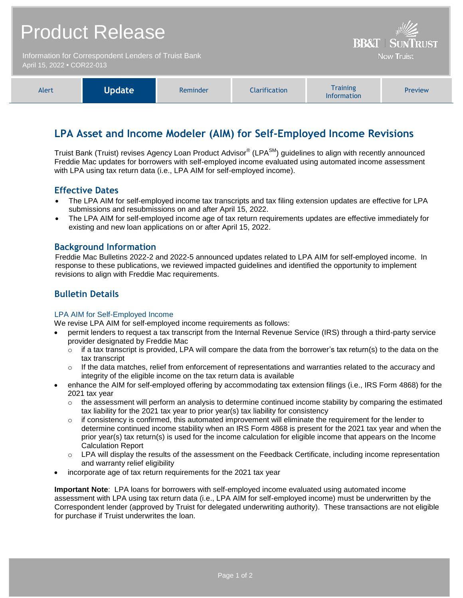| <b>Product Release</b><br>Information for Correspondent Lenders of Truist Bank<br>April 15, 2022 • COR22-013 |  |  |  | <b>BB&amp;T   SUNTRUST</b><br><b>Now Truist</b> |  |
|--------------------------------------------------------------------------------------------------------------|--|--|--|-------------------------------------------------|--|
|                                                                                                              |  |  |  |                                                 |  |

## **LPA Asset and Income Modeler (AIM) for Self-Employed Income Revisions**

Information

Truist Bank (Truist) revises Agency Loan Product Advisor® (LPA<sup>SM</sup>) guidelines to align with recently announced Freddie Mac updates for borrowers with self-employed income evaluated using automated income assessment with LPA using tax return data (i.e., LPA AIM for self-employed income).

#### **Effective Dates**

- The LPA AIM for self-employed income tax transcripts and tax filing extension updates are effective for LPA submissions and resubmissions on and after April 15, 2022.
- The LPA AIM for self-employed income age of tax return requirements updates are effective immediately for existing and new loan applications on or after April 15, 2022.

#### **Background Information**

Freddie Mac Bulletins 2022-2 and 2022-5 announced updates related to LPA AIM for self-employed income. In response to these publications, we reviewed impacted guidelines and identified the opportunity to implement revisions to align with Freddie Mac requirements.

### **Bulletin Details**

#### LPA AIM for Self-Employed Income

We revise LPA AIM for self-employed income requirements as follows:

- permit lenders to request a tax transcript from the Internal Revenue Service (IRS) through a third-party service provider designated by Freddie Mac
	- $\circ$  if a tax transcript is provided, LPA will compare the data from the borrower's tax return(s) to the data on the tax transcript
	- $\circ$  If the data matches, relief from enforcement of representations and warranties related to the accuracy and integrity of the eligible income on the tax return data is available
- enhance the AIM for self-employed offering by accommodating tax extension filings (i.e., IRS Form 4868) for the 2021 tax year
	- $\circ$  the assessment will perform an analysis to determine continued income stability by comparing the estimated tax liability for the 2021 tax year to prior year(s) tax liability for consistency
	- $\circ$  if consistency is confirmed, this automated improvement will eliminate the requirement for the lender to determine continued income stability when an IRS Form 4868 is present for the 2021 tax year and when the prior year(s) tax return(s) is used for the income calculation for eligible income that appears on the Income Calculation Report
	- $\circ$  LPA will display the results of the assessment on the Feedback Certificate, including income representation and warranty relief eligibility
- incorporate age of tax return requirements for the 2021 tax year

**Important Note**: LPA loans for borrowers with self-employed income evaluated using automated income assessment with LPA using tax return data (i.e., LPA AIM for self-employed income) must be underwritten by the Correspondent lender (approved by Truist for delegated underwriting authority). These transactions are not eligible for purchase if Truist underwrites the loan.